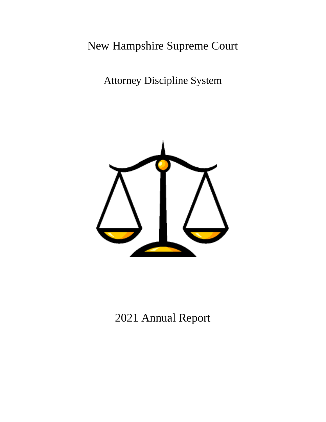# New Hampshire Supreme Court

Attorney Discipline System



2021 Annual Report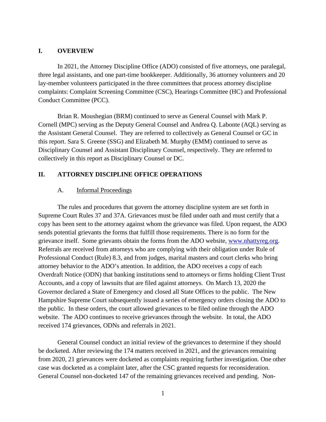#### **I. OVERVIEW**

In 2021, the Attorney Discipline Office (ADO) consisted of five attorneys, one paralegal, three legal assistants, and one part-time bookkeeper. Additionally, 36 attorney volunteers and 20 lay-member volunteers participated in the three committees that process attorney discipline complaints: Complaint Screening Committee (CSC), Hearings Committee (HC) and Professional Conduct Committee (PCC).

Brian R. Moushegian (BRM) continued to serve as General Counsel with Mark P. Cornell (MPC) serving as the Deputy General Counsel and Andrea Q. Labonte (AQL) serving as the Assistant General Counsel. They are referred to collectively as General Counsel or GC in this report. Sara S. Greene (SSG) and Elizabeth M. Murphy (EMM) continued to serve as Disciplinary Counsel and Assistant Disciplinary Counsel, respectively. They are referred to collectively in this report as Disciplinary Counsel or DC.

## **II. ATTORNEY DISCIPLINE OFFICE OPERATIONS**

#### A. Informal Proceedings

The rules and procedures that govern the attorney discipline system are set forth in Supreme Court Rules 37 and 37A. Grievances must be filed under oath and must certify that a copy has been sent to the attorney against whom the grievance was filed. Upon request, the ADO sends potential grievants the forms that fulfill those requirements. There is no form for the grievance itself. Some grievants obtain the forms from the ADO website, www.nhattyreg.org. Referrals are received from attorneys who are complying with their obligation under Rule of Professional Conduct (Rule) 8.3, and from judges, marital masters and court clerks who bring attorney behavior to the ADO's attention. In addition, the ADO receives a copy of each Overdraft Notice (ODN) that banking institutions send to attorneys or firms holding Client Trust Accounts, and a copy of lawsuits that are filed against attorneys. On March 13, 2020 the Governor declared a State of Emergency and closed all State Offices to the public. The New Hampshire Supreme Court subsequently issued a series of emergency orders closing the ADO to the public. In these orders, the court allowed grievances to be filed online through the ADO website. The ADO continues to receive grievances through the website. In total, the ADO received 174 grievances, ODNs and referrals in 2021.

General Counsel conduct an initial review of the grievances to determine if they should be docketed. After reviewing the 174 matters received in 2021, and the grievances remaining from 2020, 21 grievances were docketed as complaints requiring further investigation. One other case was docketed as a complaint later, after the CSC granted requests for reconsideration. General Counsel non-docketed 147 of the remaining grievances received and pending. Non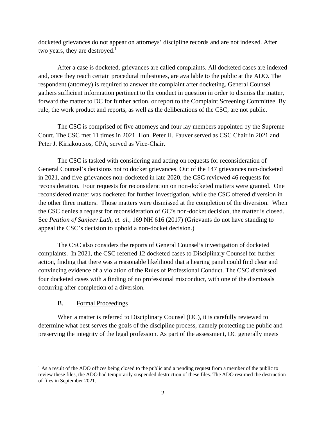docketed grievances do not appear on attorneys' discipline records and are not indexed. After two years, they are destroyed. $<sup>1</sup>$ </sup>

After a case is docketed, grievances are called complaints. All docketed cases are indexed and, once they reach certain procedural milestones, are available to the public at the ADO. The respondent (attorney) is required to answer the complaint after docketing. General Counsel gathers sufficient information pertinent to the conduct in question in order to dismiss the matter, forward the matter to DC for further action, or report to the Complaint Screening Committee. By rule, the work product and reports, as well as the deliberations of the CSC, are not public.

The CSC is comprised of five attorneys and four lay members appointed by the Supreme Court. The CSC met 11 times in 2021. Hon. Peter H. Fauver served as CSC Chair in 2021 and Peter J. Kiriakoutsos, CPA, served as Vice-Chair.

The CSC is tasked with considering and acting on requests for reconsideration of General Counsel's decisions not to docket grievances. Out of the 147 grievances non-docketed in 2021, and five grievances non-docketed in late 2020, the CSC reviewed 46 requests for reconsideration. Four requests for reconsideration on non-docketed matters were granted. One reconsidered matter was docketed for further investigation, while the CSC offered diversion in the other three matters. Those matters were dismissed at the completion of the diversion. When the CSC denies a request for reconsideration of GC's non-docket decision, the matter is closed. See *Petition of Sanjeev Lath, et. al.*, 169 NH 616 (2017) (Grievants do not have standing to appeal the CSC's decision to uphold a non-docket decision.)

The CSC also considers the reports of General Counsel's investigation of docketed complaints. In 2021, the CSC referred 12 docketed cases to Disciplinary Counsel for further action, finding that there was a reasonable likelihood that a hearing panel could find clear and convincing evidence of a violation of the Rules of Professional Conduct. The CSC dismissed four docketed cases with a finding of no professional misconduct, with one of the dismissals occurring after completion of a diversion.

## B. Formal Proceedings

When a matter is referred to Disciplinary Counsel (DC), it is carefully reviewed to determine what best serves the goals of the discipline process, namely protecting the public and preserving the integrity of the legal profession. As part of the assessment, DC generally meets

 $<sup>1</sup>$  As a result of the ADO offices being closed to the public and a pending request from a member of the public to</sup> review these files, the ADO had temporarily suspended destruction of these files. The ADO resumed the destruction of files in September 2021.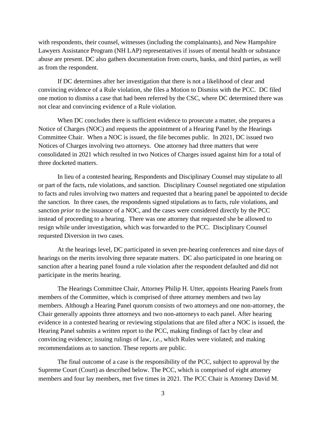with respondents, their counsel, witnesses (including the complainants), and New Hampshire Lawyers Assistance Program (NH LAP) representatives if issues of mental health or substance abuse are present. DC also gathers documentation from courts, banks, and third parties, as well as from the respondent.

If DC determines after her investigation that there is not a likelihood of clear and convincing evidence of a Rule violation, she files a Motion to Dismiss with the PCC. DC filed one motion to dismiss a case that had been referred by the CSC, where DC determined there was not clear and convincing evidence of a Rule violation.

When DC concludes there is sufficient evidence to prosecute a matter, she prepares a Notice of Charges (NOC) and requests the appointment of a Hearing Panel by the Hearings Committee Chair. When a NOC is issued, the file becomes public. In 2021, DC issued two Notices of Charges involving two attorneys. One attorney had three matters that were consolidated in 2021 which resulted in two Notices of Charges issued against him for a total of three docketed matters.

In lieu of a contested hearing, Respondents and Disciplinary Counsel may stipulate to all or part of the facts, rule violations, and sanction. Disciplinary Counsel negotiated one stipulation to facts and rules involving two matters and requested that a hearing panel be appointed to decide the sanction*.* In three cases, the respondents signed stipulations as to facts, rule violations, and sanction *prior to* the issuance of a NOC, and the cases were considered directly by the PCC instead of proceeding to a hearing. There was one attorney that requested she be allowed to resign while under investigation, which was forwarded to the PCC. Disciplinary Counsel requested Diversion in two cases.

At the hearings level, DC participated in seven pre-hearing conferences and nine days of hearings on the merits involving three separate matters. DC also participated in one hearing on sanction after a hearing panel found a rule violation after the respondent defaulted and did not participate in the merits hearing.

The Hearings Committee Chair, Attorney Philip H. Utter, appoints Hearing Panels from members of the Committee, which is comprised of three attorney members and two lay members. Although a Hearing Panel quorum consists of two attorneys and one non-attorney, the Chair generally appoints three attorneys and two non-attorneys to each panel. After hearing evidence in a contested hearing or reviewing stipulations that are filed after a NOC is issued, the Hearing Panel submits a written report to the PCC, making findings of fact by clear and convincing evidence; issuing rulings of law, *i.e.*, which Rules were violated; and making recommendations as to sanction. These reports are public.

The final outcome of a case is the responsibility of the PCC, subject to approval by the Supreme Court (Court) as described below. The PCC, which is comprised of eight attorney members and four lay members, met five times in 2021. The PCC Chair is Attorney David M.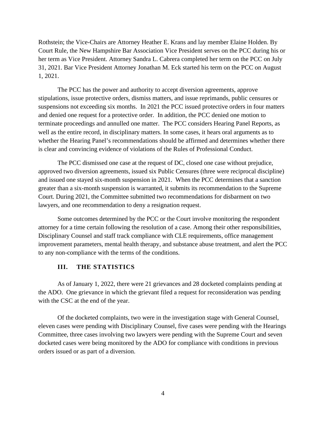Rothstein; the Vice-Chairs are Attorney Heather E. Krans and lay member Elaine Holden. By Court Rule, the New Hampshire Bar Association Vice President serves on the PCC during his or her term as Vice President. Attorney Sandra L. Cabrera completed her term on the PCC on July 31, 2021. Bar Vice President Attorney Jonathan M. Eck started his term on the PCC on August 1, 2021.

The PCC has the power and authority to accept diversion agreements, approve stipulations, issue protective orders, dismiss matters, and issue reprimands, public censures or suspensions not exceeding six months. In 2021 the PCC issued protective orders in four matters and denied one request for a protective order. In addition, the PCC denied one motion to terminate proceedings and annulled one matter. The PCC considers Hearing Panel Reports, as well as the entire record, in disciplinary matters. In some cases, it hears oral arguments as to whether the Hearing Panel's recommendations should be affirmed and determines whether there is clear and convincing evidence of violations of the Rules of Professional Conduct.

The PCC dismissed one case at the request of DC, closed one case without prejudice, approved two diversion agreements, issued six Public Censures (three were reciprocal discipline) and issued one stayed six-month suspension in 2021. When the PCC determines that a sanction greater than a six-month suspension is warranted, it submits its recommendation to the Supreme Court. During 2021, the Committee submitted two recommendations for disbarment on two lawyers, and one recommendation to deny a resignation request.

Some outcomes determined by the PCC or the Court involve monitoring the respondent attorney for a time certain following the resolution of a case. Among their other responsibilities, Disciplinary Counsel and staff track compliance with CLE requirements, office management improvement parameters, mental health therapy, and substance abuse treatment, and alert the PCC to any non-compliance with the terms of the conditions.

## **III. THE STATISTICS**

As of January 1, 2022, there were 21 grievances and 28 docketed complaints pending at the ADO. One grievance in which the grievant filed a request for reconsideration was pending with the CSC at the end of the year.

Of the docketed complaints, two were in the investigation stage with General Counsel, eleven cases were pending with Disciplinary Counsel, five cases were pending with the Hearings Committee, three cases involving two lawyers were pending with the Supreme Court and seven docketed cases were being monitored by the ADO for compliance with conditions in previous orders issued or as part of a diversion.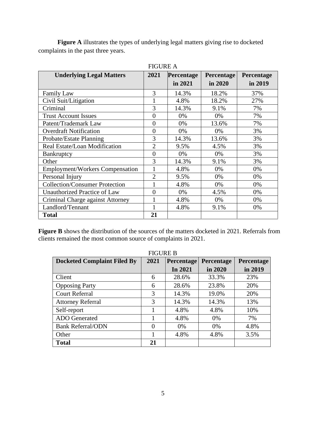**Figure A** illustrates the types of underlying legal matters giving rise to docketed complaints in the past three years.

| <b>Underlying Legal Matters</b>        | 2021<br>Percentage<br>Percentage |         | Percentage |         |  |
|----------------------------------------|----------------------------------|---------|------------|---------|--|
|                                        |                                  | in 2021 | in 2020    | in 2019 |  |
| <b>Family Law</b>                      | 3                                | 14.3%   | 18.2%      | 37%     |  |
| Civil Suit/Litigation                  |                                  | 4.8%    | 18.2%      | 27%     |  |
| Criminal                               | 3                                | 14.3%   | 9.1%       | 7%      |  |
| <b>Trust Account Issues</b>            | $\overline{0}$                   | 0%      | 0%         | 7%      |  |
| Patent/Trademark Law                   | $\overline{0}$                   | 0%      | 13.6%      | 7%      |  |
| <b>Overdraft Notification</b>          | $\overline{0}$                   | 0%      | 0%         | 3%      |  |
| Probate/Estate Planning                | 3                                | 14.3%   | 13.6%      | 3%      |  |
| Real Estate/Loan Modification          | $\overline{2}$                   | 9.5%    | 4.5%       | 3%      |  |
| <b>Bankruptcy</b>                      | $\overline{0}$                   | 0%      | 0%         | 3%      |  |
| Other                                  | 3                                | 14.3%   | 9.1%       | 3%      |  |
| <b>Employment/Workers Compensation</b> |                                  | 4.8%    | 0%         | 0%      |  |
| Personal Injury                        | $\overline{2}$                   | 9.5%    | 0%         | 0%      |  |
| <b>Collection/Consumer Protection</b>  |                                  | 4.8%    | 0%         | 0%      |  |
| Unauthorized Practice of Law           | $\overline{0}$                   | 0%      | 4.5%       | 0%      |  |
| Criminal Charge against Attorney       | 1                                | 4.8%    | 0%         | 0%      |  |
| Landlord/Tennant                       | 1                                | 4.8%    | 9.1%       | 0%      |  |
| <b>Total</b>                           | 21                               |         |            |         |  |

FIGURE A

**Figure B** shows the distribution of the sources of the matters docketed in 2021. Referrals from clients remained the most common source of complaints in 2021.

| <b>Docketed Complaint Filed By</b> | 2021     | Percentage | Percentage | Percentage |  |
|------------------------------------|----------|------------|------------|------------|--|
|                                    |          | In 2021    | in 2020    | in 2019    |  |
| Client                             | 6        | 28.6%      | 33.3%      | 23%        |  |
| <b>Opposing Party</b>              | 6        | 28.6%      | 23.8%      | 20%        |  |
| <b>Court Referral</b>              | 3        | 14.3%      | 19.0%      | 20%        |  |
| <b>Attorney Referral</b>           | 3        | 14.3%      | 14.3%      | 13%        |  |
| Self-report                        | 1        | 4.8%       | 4.8%       | 10%        |  |
| <b>ADO</b> Generated               |          | 4.8%       | 0%         | 7%         |  |
| <b>Bank Referral/ODN</b>           | $\Omega$ | $0\%$      | 0%         | 4.8%       |  |
| Other                              | 1        | 4.8%       | 4.8%       | 3.5%       |  |
| <b>Total</b>                       | 21       |            |            |            |  |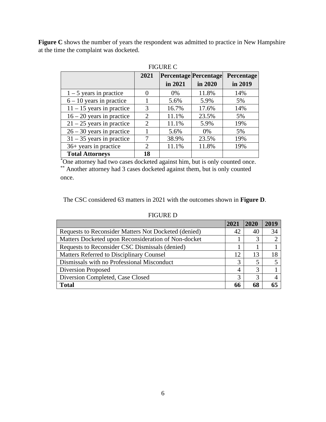Figure C shows the number of years the respondent was admitted to practice in New Hampshire at the time the complaint was docketed.

|                             | 2021                  | <b>Percentage Percentage</b> |         | Percentage |
|-----------------------------|-----------------------|------------------------------|---------|------------|
|                             |                       | in 2021                      | in 2020 | in 2019    |
| $1 - 5$ years in practice   | 0                     | $0\%$                        | 11.8%   | 14%        |
| $6 - 10$ years in practice  |                       | 5.6%                         | 5.9%    | 5%         |
| $11 - 15$ years in practice | 3                     | 16.7%                        | 17.6%   | 14%        |
| $16 - 20$ years in practice | $\overline{2}$        | 11.1%                        | 23.5%   | 5%         |
| $21 - 25$ years in practice | $\mathcal{D}_{\cdot}$ | 11.1%                        | 5.9%    | 19%        |
| $26 - 30$ years in practice |                       | 5.6%                         | $0\%$   | 5%         |
| $31 - 35$ years in practice | 7                     | 38.9%                        | 23.5%   | 19%        |
| $36+$ years in practice     | 2                     | 11.1%                        | 11.8%   | 19%        |
| <b>Total Attorneys</b>      | 18                    |                              |         |            |

| FIGURE C |
|----------|
|----------|

\*One attorney had two cases docketed against him, but is only counted once. \*\* Another attorney had 3 cases docketed against them, but is only counted

once.

The CSC considered 63 matters in 2021 with the outcomes shown in **Figure D**.

#### FIGURE D

|                                                      | 2021 | 2020 | 2019 |
|------------------------------------------------------|------|------|------|
| Requests to Reconsider Matters Not Docketed (denied) | 42   | 40   | 34   |
| Matters Docketed upon Reconsideration of Non-docket  |      |      |      |
| Requests to Reconsider CSC Dismissals (denied)       |      |      |      |
| Matters Referred to Disciplinary Counsel             | 12   | 13   | 18   |
| Dismissals with no Professional Misconduct           | 3    |      |      |
| <b>Diversion Proposed</b>                            | 4    |      |      |
| Diversion Completed, Case Closed                     | 3    |      |      |
| <b>Total</b>                                         | 66   | 68   |      |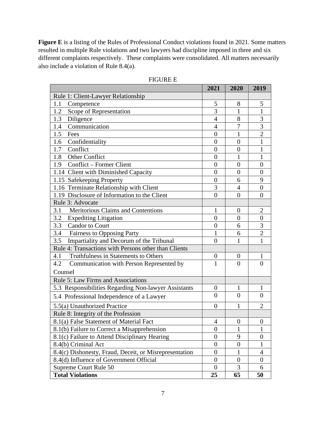**Figure E** is a listing of the Rules of Professional Conduct violations found in 2021. Some matters resulted in multiple Rule violations and two lawyers had discipline imposed in three and six different complaints respectively. These complaints were consolidated. All matters necessarily also include a violation of Rule 8.4(a).

|                                                        | 2021             | 2020             | 2019             |
|--------------------------------------------------------|------------------|------------------|------------------|
| Rule 1: Client-Lawyer Relationship                     |                  |                  |                  |
| 1.1<br>Competence                                      | 5                | 8                | 5                |
| Scope of Representation<br>1.2                         | 3                | 1                | 1                |
| 1.3<br>Diligence                                       | $\overline{4}$   | 8                | 3                |
| Communication<br>1.4                                   | $\overline{4}$   | 7                | 3                |
| 1.5<br>Fees                                            | $\boldsymbol{0}$ | 1                | $\overline{2}$   |
| Confidentiality<br>1.6                                 | $\overline{0}$   | $\overline{0}$   | 1                |
| Conflict<br>1.7                                        | $\boldsymbol{0}$ | $\boldsymbol{0}$ | 1                |
| Other Conflict<br>1.8                                  | $\boldsymbol{0}$ | $\mathbf{1}$     | 1                |
| Conflict - Former Client<br>1.9                        | $\overline{0}$   | $\overline{0}$   | $\overline{0}$   |
| 1.14 Client with Diminished Capacity                   | $\boldsymbol{0}$ | $\overline{0}$   | $\overline{0}$   |
| 1.15 Safekeeping Property                              | $\boldsymbol{0}$ | 6                | 9                |
| 1.16 Terminate Relationship with Client                | 3                | $\overline{4}$   | $\overline{0}$   |
| 1.19 Disclosure of Information to the Client           | $\boldsymbol{0}$ | $\overline{0}$   | $\overline{0}$   |
| Rule 3: Advocate                                       |                  |                  |                  |
| Meritorious Claims and Contentions<br>3.1              | 1                | 0                | $\overline{2}$   |
| <b>Expediting Litigation</b><br>3.2                    | $\overline{0}$   | $\overline{0}$   | $\boldsymbol{0}$ |
| 3.3<br><b>Candor to Court</b>                          | $\overline{0}$   | 6                | 3                |
| 3.4<br><b>Fairness to Opposing Party</b>               | 1                | 6                | $\overline{2}$   |
| 3.5<br>Impartiality and Decorum of the Tribunal        | $\overline{0}$   | 1                | 1                |
| Rule 4: Transactions with Persons other than Clients   |                  |                  |                  |
| Truthfulness in Statements to Others<br>4.1            | $\boldsymbol{0}$ | $\theta$         | 1                |
| 4.2<br>Communication with Person Represented by        | $\mathbf{1}$     | $\overline{0}$   | $\overline{0}$   |
| Counsel                                                |                  |                  |                  |
| Rule 5: Law Firms and Associations                     |                  |                  |                  |
| 5.3 Responsibilities Regarding Non-lawyer Assistants   | $\boldsymbol{0}$ | 1                | 1                |
| 5.4 Professional Independence of a Lawyer              | $\overline{0}$   | $\overline{0}$   | $\overline{0}$   |
| 5.5(a) Unauthorized Practice                           | $\theta$         | 1                | $\overline{2}$   |
| Rule 8: Integrity of the Profession                    |                  |                  |                  |
| 8.1(a) False Statement of Material Fact                | $\overline{4}$   | $\overline{0}$   | $\boldsymbol{0}$ |
| 8.1(b) Failure to Correct a Misapprehension            | $\boldsymbol{0}$ | 1                | 1                |
| 8.1(c) Failure to Attend Disciplinary Hearing          | $\overline{0}$   | 9                | $\overline{0}$   |
| 8.4(b) Criminal Act                                    | $\boldsymbol{0}$ | $\boldsymbol{0}$ | 1                |
| 8.4(c) Dishonesty, Fraud, Deceit, or Misrepresentation | $\boldsymbol{0}$ | 1                | 4                |
| 8.4(d) Influence of Government Official                | $\boldsymbol{0}$ | $\boldsymbol{0}$ | $\boldsymbol{0}$ |
| Supreme Court Rule 50                                  | $\overline{0}$   | 3                | 6                |
| <b>Total Violations</b>                                | 25               | 65               | 50               |

#### FIGURE E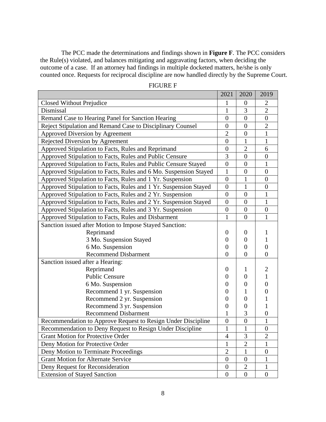The PCC made the determinations and findings shown in **Figure F**. The PCC considers the Rule(s) violated, and balances mitigating and aggravating factors, when deciding the outcome of a case. If an attorney had findings in multiple docketed matters, he/she is only counted once. Requests for reciprocal discipline are now handled directly by the Supreme Court.

|                                                                  | 2021             | 2020           | 2019             |
|------------------------------------------------------------------|------------------|----------------|------------------|
| Closed Without Prejudice                                         | 1                | $\overline{0}$ | 2                |
| Dismissal                                                        | 1                | 3              | $\overline{2}$   |
| Remand Case to Hearing Panel for Sanction Hearing                | $\overline{0}$   | $\overline{0}$ | $\overline{0}$   |
| Reject Stipulation and Remand Case to Disciplinary Counsel       | $\overline{0}$   | $\overline{0}$ | $\overline{2}$   |
| Approved Diversion by Agreement                                  | $\overline{2}$   | $\overline{0}$ | 1                |
| Rejected Diversion by Agreement                                  | $\overline{0}$   | 1              | 1                |
| Approved Stipulation to Facts, Rules and Reprimand               | $\overline{0}$   | $\overline{2}$ | 6                |
| Approved Stipulation to Facts, Rules and Public Censure          | 3                | $\overline{0}$ | $\overline{0}$   |
| Approved Stipulation to Facts, Rules and Public Censure Stayed   | $\overline{0}$   | $\overline{0}$ | $\mathbf{1}$     |
| Approved Stipulation to Facts, Rules and 6 Mo. Suspension Stayed | 1                | $\overline{0}$ | $\overline{0}$   |
| Approved Stipulation to Facts, Rules and 1 Yr. Suspension        | $\overline{0}$   | $\mathbf{1}$   | $\overline{0}$   |
| Approved Stipulation to Facts, Rules and 1 Yr. Suspension Stayed | $\boldsymbol{0}$ | $\mathbf{1}$   | $\boldsymbol{0}$ |
| Approved Stipulation to Facts, Rules and 2 Yr. Suspension        | $\overline{0}$   | $\overline{0}$ | 1                |
| Approved Stipulation to Facts, Rules and 2 Yr. Suspension Stayed | $\overline{0}$   | $\overline{0}$ | $\mathbf{1}$     |
| Approved Stipulation to Facts, Rules and 3 Yr. Suspension        | $\boldsymbol{0}$ | $\overline{0}$ | $\overline{0}$   |
| Approved Stipulation to Facts, Rules and Disbarment              | 1                | $\theta$       | 1                |
| Sanction issued after Motion to Impose Stayed Sanction:          |                  |                |                  |
| Reprimand                                                        | $\Omega$         | $\Omega$       |                  |
| 3 Mo. Suspension Stayed                                          | $\boldsymbol{0}$ | 0              | 1                |
| 6 Mo. Suspension                                                 | $\theta$         | 0              | $\theta$         |
| <b>Recommend Disbarment</b>                                      | $\theta$         | $\overline{0}$ | 0                |
| Sanction issued after a Hearing:                                 |                  |                |                  |
| Reprimand                                                        | $\overline{0}$   | 1              |                  |
| <b>Public Censure</b>                                            | $\theta$         | 0              | 1                |
| 6 Mo. Suspension                                                 | $\theta$         | 0              | 0                |
| Recommend 1 yr. Suspension                                       | $\theta$         |                |                  |
| Recommend 2 yr. Suspension                                       | $\overline{0}$   | 0              |                  |
| Recommend 3 yr. Suspension                                       | $\overline{0}$   | $\theta$       |                  |
| <b>Recommend Disbarment</b>                                      | 1                | 3              | $\overline{0}$   |
| Recommendation to Approve Request to Resign Under Discipline     | $\overline{0}$   | $\overline{0}$ | $\mathbf{1}$     |
| Recommendation to Deny Request to Resign Under Discipline        |                  | $\mathbf{1}$   | $\boldsymbol{0}$ |
| <b>Grant Motion for Protective Order</b>                         |                  | 3              | $\overline{2}$   |
| Deny Motion for Protective Order                                 | 1                | $\overline{2}$ | 1                |
| Deny Motion to Terminate Proceedings                             | $\overline{2}$   | 1              | $\overline{0}$   |
| <b>Grant Motion for Alternate Service</b>                        | $\overline{0}$   | $\theta$       | 1                |
| Deny Request for Reconsideration                                 | $\boldsymbol{0}$ | $\overline{2}$ | 1                |
| <b>Extension of Stayed Sanction</b>                              | $\overline{0}$   | $\overline{0}$ | $\overline{0}$   |

#### FIGURE F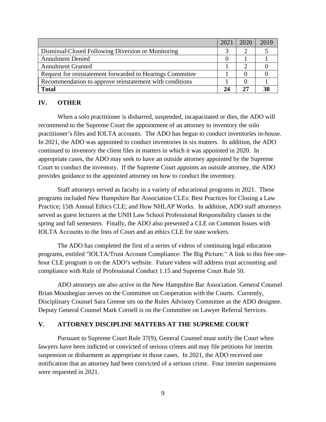|                                                           | 2021 | 2020 | 2019 |
|-----------------------------------------------------------|------|------|------|
| Dismissal\Closed Following Diversion or Monitoring        |      |      |      |
| <b>Annulment Denied</b>                                   |      |      |      |
| <b>Annulment Granted</b>                                  |      |      |      |
| Request for reinstatement forwarded to Hearings Committee |      |      |      |
| Recommendation to approve reinstatement with conditions   |      |      |      |
| <b>Total</b>                                              |      |      |      |

# **IV. OTHER**

When a solo practitioner is disbarred, suspended, incapacitated or dies, the ADO will recommend to the Supreme Court the appointment of an attorney to inventory the solo practitioner's files and IOLTA accounts. The ADO has begun to conduct inventories in-house. In 2021, the ADO was appointed to conduct inventories in six matters. In addition, the ADO continued to inventory the client files in matters in which it was appointed in 2020. In appropriate cases, the ADO may seek to have an outside attorney appointed by the Supreme Court to conduct the inventory. If the Supreme Court appoints an outside attorney, the ADO provides guidance to the appointed attorney on how to conduct the inventory.

Staff attorneys served as faculty in a variety of educational programs in 2021. These programs included New Hampshire Bar Association CLEs: Best Practices for Closing a Law Practice; 15th Annual Ethics CLE; and How NHLAP Works. In addition, ADO staff attorneys served as guest lecturers at the UNH Law School Professional Responsibility classes in the spring and fall semesters. Finally, the ADO also presented a CLE on Common Issues with IOLTA Accounts to the Inns of Court and an ethics CLE for state workers.

The ADO has completed the first of a series of videos of continuing legal education programs, entitled "IOLTA/Trust Account Compliance: The Big Picture." A link to this free onehour CLE program is on the ADO's website. Future videos will address trust accounting and compliance with Rule of Professional Conduct 1.15 and Supreme Court Rule 50.

ADO attorneys are also active in the New Hampshire Bar Association. General Counsel Brian Moushegian serves on the Committee on Cooperation with the Courts. Currently, Disciplinary Counsel Sara Greene sits on the Rules Advisory Committee as the ADO designee. Deputy General Counsel Mark Cornell is on the Committee on Lawyer Referral Services.

### **V. ATTORNEY DISCIPLINE MATTERS AT THE SUPREME COURT**

Pursuant to Supreme Court Rule 37(9), General Counsel must notify the Court when lawyers have been indicted or convicted of serious crimes and may file petitions for interim suspension or disbarment as appropriate in those cases. In 2021, the ADO received one notification that an attorney had been convicted of a serious crime. Four interim suspensions were requested in 2021.